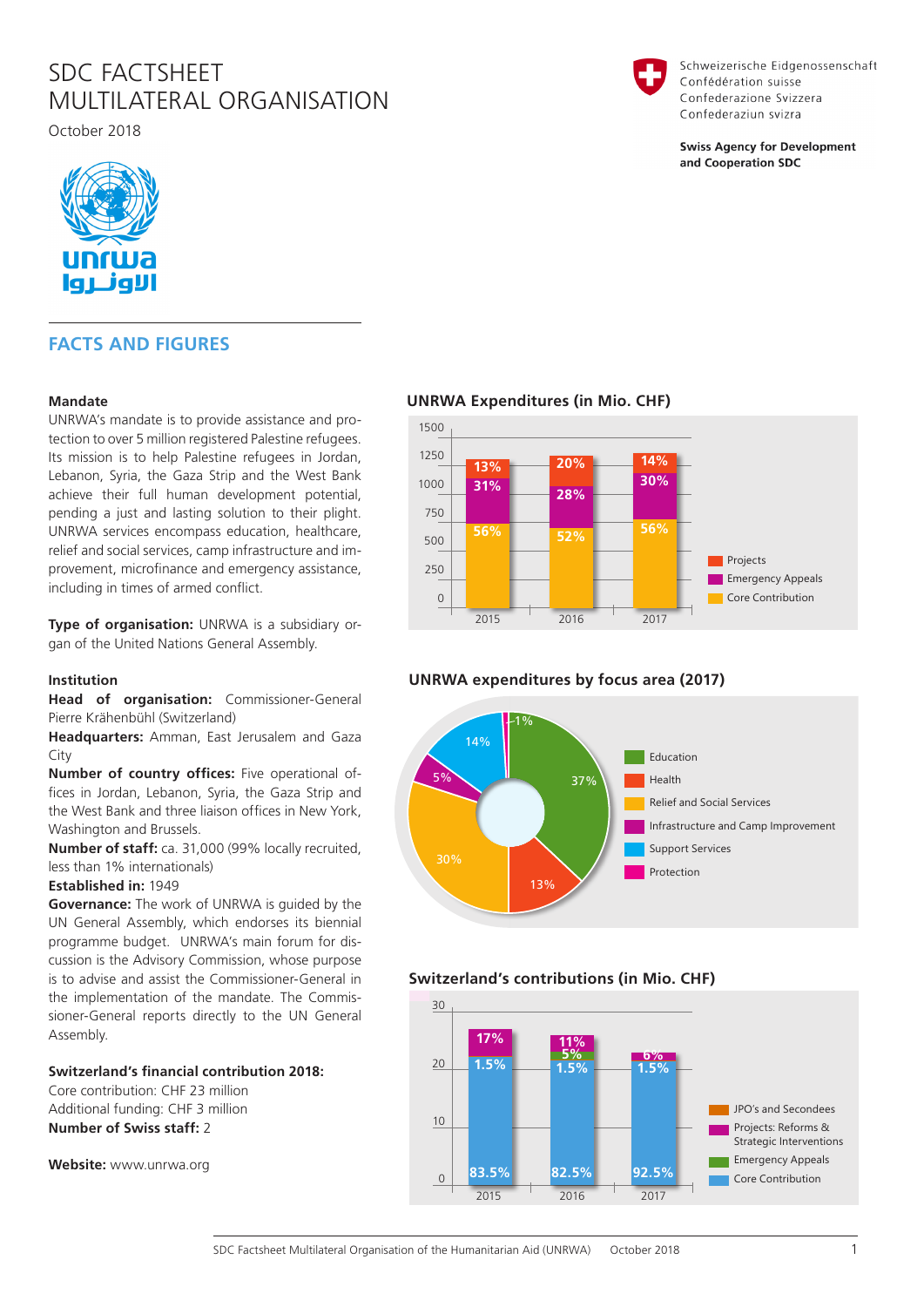# SDC FACTSHEET MULTILATERAL ORGANISATION

October 2018



# **FACTS AND FIGURES**

### **Mandate**

UNRWA's mandate is to provide assistance and protection to over 5 million registered Palestine refugees. Its mission is to help Palestine refugees in Jordan, Lebanon, Syria, the Gaza Strip and the West Bank achieve their full human development potential, pending a just and lasting solution to their plight. UNRWA services encompass education, healthcare, relief and social services, camp infrastructure and improvement, microfinance and emergency assistance, including in times of armed conflict.

**Type of organisation:** UNRWA is a subsidiary organ of the United Nations General Assembly.

#### **Institution**

**Head of organisation:** Commissioner-General Pierre Krähenbühl (Switzerland)

**Headquarters:** Amman, East Jerusalem and Gaza City

**Number of country offices:** Five operational offices in Jordan, Lebanon, Syria, the Gaza Strip and the West Bank and three liaison offices in New York, Washington and Brussels.

**Number of staff:** ca. 31,000 (99% locally recruited, less than 1% internationals)

#### **Established in:** 1949

**Governance:** The work of UNRWA is guided by the UN General Assembly, which endorses its biennial programme budget. UNRWA's main forum for discussion is the Advisory Commission, whose purpose is to advise and assist the Commissioner-General in the implementation of the mandate. The Commissioner-General reports directly to the UN General Assembly.

# **Switzerland's financial contribution 2018:**

Core contribution: CHF 23 million Additional funding: CHF 3 million **Number of Swiss staff:** 2

**Website:** www.unrwa.org

# **UNRWA Expenditures (in Mio. CHF)**



# **UNRWA expenditures by focus area (2017)**



# **Switzerland's contributions (in Mio. CHF)**





Schweizerische Eidgenossenschaft Confédération suisse Confederazione Svizzera Confederaziun svizra

**Swiss Agency for Development** and Cooperation SDC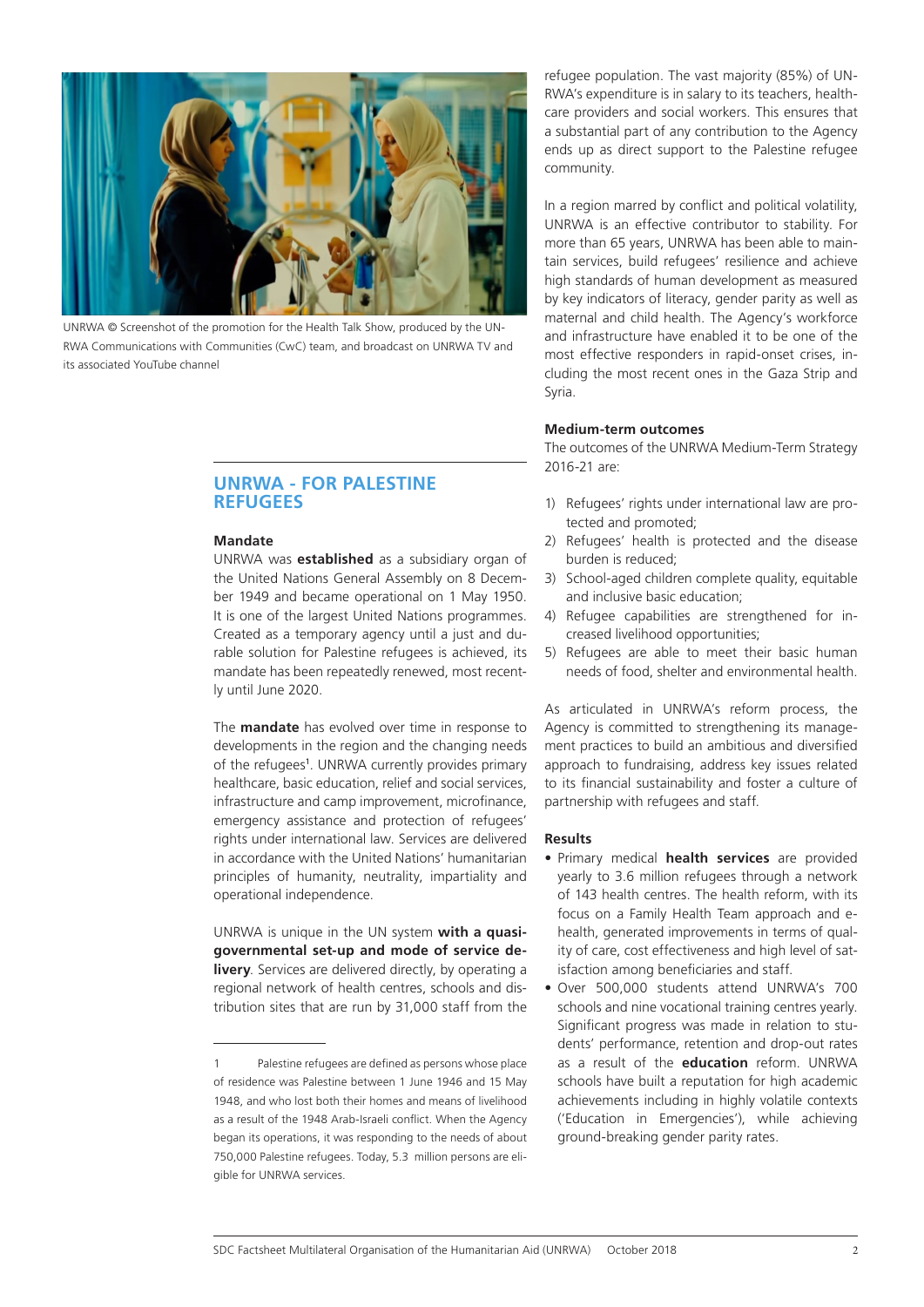

UNRWA © Screenshot of the promotion for the Health Talk Show, produced by the UN-RWA Communications with Communities (CwC) team, and broadcast on UNRWA TV and its associated YouTube channel

# **UNRWA - FOR PALESTINE REFUGEES**

### **Mandate**

UNRWA was **established** as a subsidiary organ of the United Nations General Assembly on 8 December 1949 and became operational on 1 May 1950. It is one of the largest United Nations programmes. Created as a temporary agency until a just and durable solution for Palestine refugees is achieved, its mandate has been repeatedly renewed, most recently until June 2020.

The **mandate** has evolved over time in response to developments in the region and the changing needs of the refugees<sup>1</sup>. UNRWA currently provides primary healthcare, basic education, relief and social services, infrastructure and camp improvement, microfinance, emergency assistance and protection of refugees' rights under international law. Services are delivered in accordance with the United Nations' humanitarian principles of humanity, neutrality, impartiality and operational independence.

UNRWA is unique in the UN system **with a quasigovernmental set-up and mode of service delivery**. Services are delivered directly, by operating a regional network of health centres, schools and distribution sites that are run by 31,000 staff from the refugee population. The vast majority (85%) of UN-RWA's expenditure is in salary to its teachers, healthcare providers and social workers. This ensures that a substantial part of any contribution to the Agency ends up as direct support to the Palestine refugee community.

In a region marred by conflict and political volatility, UNRWA is an effective contributor to stability. For more than 65 years, UNRWA has been able to maintain services, build refugees' resilience and achieve high standards of human development as measured by key indicators of literacy, gender parity as well as maternal and child health. The Agency's workforce and infrastructure have enabled it to be one of the most effective responders in rapid-onset crises, including the most recent ones in the Gaza Strip and Syria.

#### **Medium-term outcomes**

The outcomes of the UNRWA Medium-Term Strategy 2016-21 are:

- 1) Refugees' rights under international law are protected and promoted;
- 2) Refugees' health is protected and the disease burden is reduced;
- 3) School-aged children complete quality, equitable and inclusive basic education;
- 4) Refugee capabilities are strengthened for increased livelihood opportunities;
- 5) Refugees are able to meet their basic human needs of food, shelter and environmental health.

As articulated in UNRWA's reform process, the Agency is committed to strengthening its management practices to build an ambitious and diversified approach to fundraising, address key issues related to its financial sustainability and foster a culture of partnership with refugees and staff.

#### **Results**

- Primary medical **health services** are provided yearly to 3.6 million refugees through a network of 143 health centres. The health reform, with its focus on a Family Health Team approach and ehealth, generated improvements in terms of quality of care, cost effectiveness and high level of satisfaction among beneficiaries and staff.
- Over 500,000 students attend UNRWA's 700 schools and nine vocational training centres yearly. Significant progress was made in relation to students' performance, retention and drop-out rates as a result of the **education** reform. UNRWA schools have built a reputation for high academic achievements including in highly volatile contexts ('Education in Emergencies'), while achieving ground-breaking gender parity rates.

<sup>1</sup> Palestine refugees are defined as persons whose place of residence was Palestine between 1 June 1946 and 15 May 1948, and who lost both their homes and means of livelihood as a result of the 1948 Arab-Israeli conflict. When the Agency began its operations, it was responding to the needs of about 750,000 Palestine refugees. Today, 5.3 million persons are eligible for UNRWA services.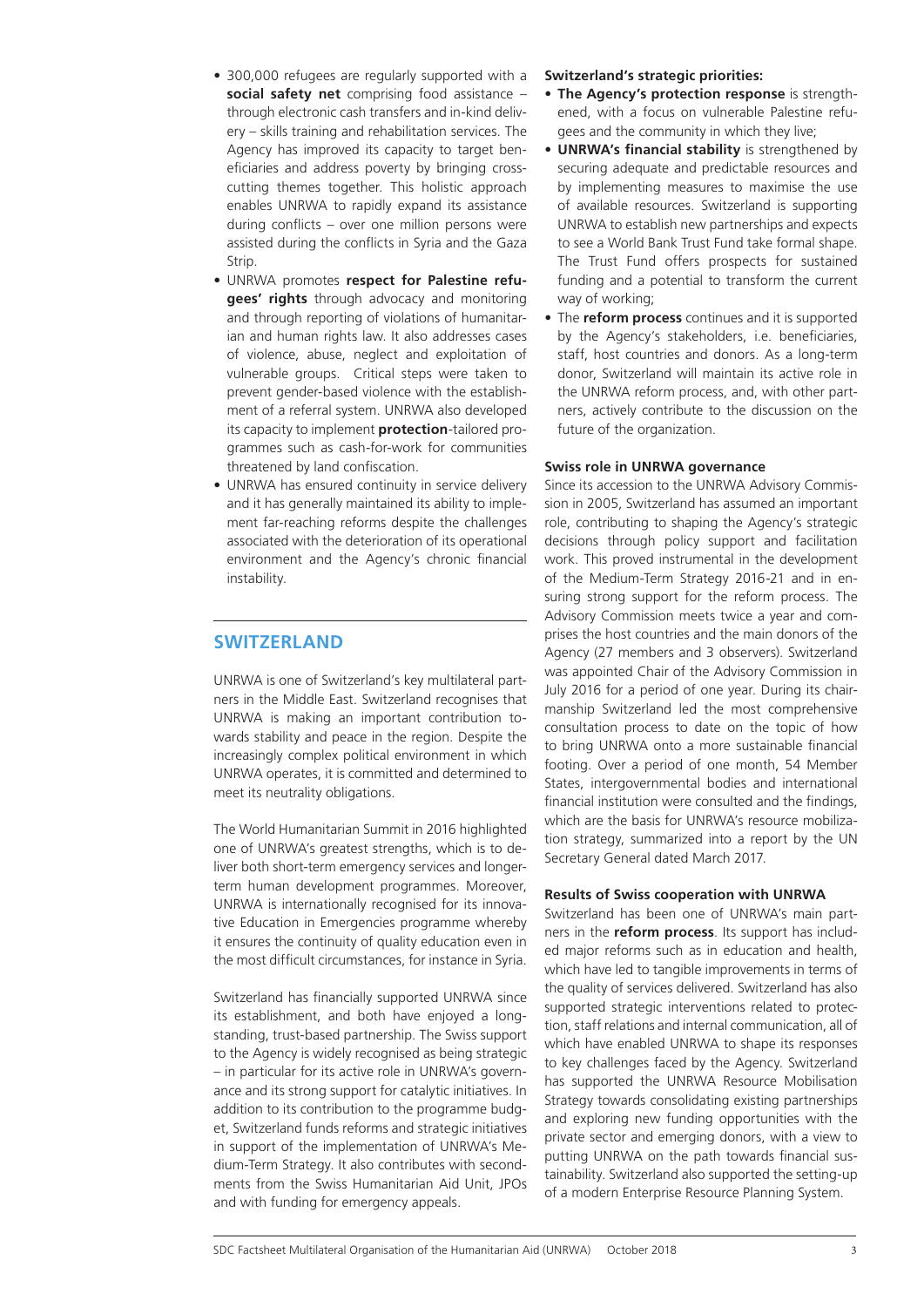- 300,000 refugees are regularly supported with a **social safety net** comprising food assistance – through electronic cash transfers and in-kind delivery – skills training and rehabilitation services. The Agency has improved its capacity to target beneficiaries and address poverty by bringing crosscutting themes together. This holistic approach enables UNRWA to rapidly expand its assistance during conflicts – over one million persons were assisted during the conflicts in Syria and the Gaza Strip.
- UNRWA promotes **respect for Palestine refugees' rights** through advocacy and monitoring and through reporting of violations of humanitarian and human rights law. It also addresses cases of violence, abuse, neglect and exploitation of vulnerable groups. Critical steps were taken to prevent gender-based violence with the establishment of a referral system. UNRWA also developed its capacity to implement **protection**-tailored programmes such as cash-for-work for communities threatened by land confiscation.
- UNRWA has ensured continuity in service delivery and it has generally maintained its ability to implement far-reaching reforms despite the challenges associated with the deterioration of its operational environment and the Agency's chronic financial instability.

# **SWITZERLAND**

UNRWA is one of Switzerland's key multilateral partners in the Middle East. Switzerland recognises that UNRWA is making an important contribution towards stability and peace in the region. Despite the increasingly complex political environment in which UNRWA operates, it is committed and determined to meet its neutrality obligations.

The World Humanitarian Summit in 2016 highlighted one of UNRWA's greatest strengths, which is to deliver both short-term emergency services and longerterm human development programmes. Moreover, UNRWA is internationally recognised for its innovative Education in Emergencies programme whereby it ensures the continuity of quality education even in the most difficult circumstances, for instance in Syria.

Switzerland has financially supported UNRWA since its establishment, and both have enjoyed a longstanding, trust-based partnership. The Swiss support to the Agency is widely recognised as being strategic – in particular for its active role in UNRWA's governance and its strong support for catalytic initiatives. In addition to its contribution to the programme budget, Switzerland funds reforms and strategic initiatives in support of the implementation of UNRWA's Medium-Term Strategy. It also contributes with secondments from the Swiss Humanitarian Aid Unit, JPOs and with funding for emergency appeals.

### **Switzerland's strategic priorities:**

- **The Agency's protection response** is strengthened, with a focus on vulnerable Palestine refugees and the community in which they live;
- **UNRWA's financial stability** is strengthened by securing adequate and predictable resources and by implementing measures to maximise the use of available resources. Switzerland is supporting UNRWA to establish new partnerships and expects to see a World Bank Trust Fund take formal shape. The Trust Fund offers prospects for sustained funding and a potential to transform the current way of working;
- The **reform process** continues and it is supported by the Agency's stakeholders, i.e. beneficiaries, staff, host countries and donors. As a long-term donor, Switzerland will maintain its active role in the UNRWA reform process, and, with other partners, actively contribute to the discussion on the future of the organization.

#### **Swiss role in UNRWA governance**

Since its accession to the UNRWA Advisory Commission in 2005, Switzerland has assumed an important role, contributing to shaping the Agency's strategic decisions through policy support and facilitation work. This proved instrumental in the development of the Medium-Term Strategy 2016-21 and in ensuring strong support for the reform process. The Advisory Commission meets twice a year and comprises the host countries and the main donors of the Agency (27 members and 3 observers). Switzerland was appointed Chair of the Advisory Commission in July 2016 for a period of one year. During its chairmanship Switzerland led the most comprehensive consultation process to date on the topic of how to bring UNRWA onto a more sustainable financial footing. Over a period of one month, 54 Member States, intergovernmental bodies and international financial institution were consulted and the findings, which are the basis for UNRWA's resource mobilization strategy, summarized into a report by the UN Secretary General dated March 2017.

#### **Results of Swiss cooperation with UNRWA**

Switzerland has been one of UNRWA's main partners in the **reform process**. Its support has included major reforms such as in education and health, which have led to tangible improvements in terms of the quality of services delivered. Switzerland has also supported strategic interventions related to protection, staff relations and internal communication, all of which have enabled UNRWA to shape its responses to key challenges faced by the Agency. Switzerland has supported the UNRWA Resource Mobilisation Strategy towards consolidating existing partnerships and exploring new funding opportunities with the private sector and emerging donors, with a view to putting UNRWA on the path towards financial sustainability. Switzerland also supported the setting-up of a modern Enterprise Resource Planning System.